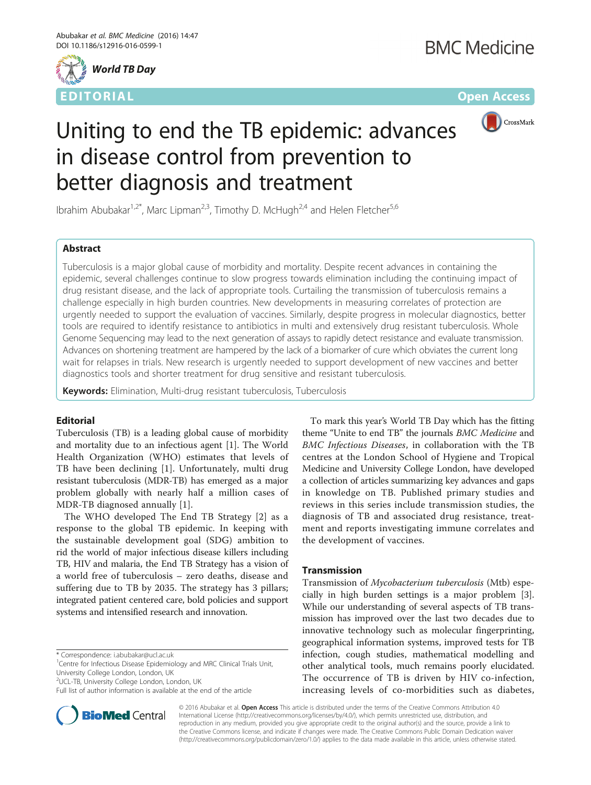



# Uniting to end the TB epidemic: advances in disease control from prevention to better diagnosis and treatment

Ibrahim Abubakar<sup>1,2\*</sup>, Marc Lipman<sup>2,3</sup>, Timothy D. McHugh<sup>2,4</sup> and Helen Fletcher<sup>5,6</sup>

# Abstract

Tuberculosis is a major global cause of morbidity and mortality. Despite recent advances in containing the epidemic, several challenges continue to slow progress towards elimination including the continuing impact of drug resistant disease, and the lack of appropriate tools. Curtailing the transmission of tuberculosis remains a challenge especially in high burden countries. New developments in measuring correlates of protection are urgently needed to support the evaluation of vaccines. Similarly, despite progress in molecular diagnostics, better tools are required to identify resistance to antibiotics in multi and extensively drug resistant tuberculosis. Whole Genome Sequencing may lead to the next generation of assays to rapidly detect resistance and evaluate transmission. Advances on shortening treatment are hampered by the lack of a biomarker of cure which obviates the current long wait for relapses in trials. New research is urgently needed to support development of new vaccines and better diagnostics tools and shorter treatment for drug sensitive and resistant tuberculosis.

Keywords: Elimination, Multi-drug resistant tuberculosis, Tuberculosis

# **Editorial**

Tuberculosis (TB) is a leading global cause of morbidity and mortality due to an infectious agent [[1\]](#page-2-0). The World Health Organization (WHO) estimates that levels of TB have been declining [[1\]](#page-2-0). Unfortunately, multi drug resistant tuberculosis (MDR-TB) has emerged as a major problem globally with nearly half a million cases of MDR-TB diagnosed annually [[1](#page-2-0)].

The WHO developed The End TB Strategy [[2\]](#page-2-0) as a response to the global TB epidemic. In keeping with the sustainable development goal (SDG) ambition to rid the world of major infectious disease killers including TB, HIV and malaria, the End TB Strategy has a vision of a world free of tuberculosis – zero deaths, disease and suffering due to TB by 2035. The strategy has 3 pillars; integrated patient centered care, bold policies and support systems and intensified research and innovation.

\* Correspondence: [i.abubakar@ucl.ac.uk](mailto:i.abubakar@ucl.ac.uk) <sup>1</sup>

<sup>1</sup> Centre for Infectious Disease Epidemiology and MRC Clinical Trials Unit, University College London, London, UK

2 UCL-TB, University College London, London, UK

To mark this year's World TB Day which has the fitting theme "Unite to end TB" the journals BMC Medicine and BMC Infectious Diseases, in collaboration with the TB centres at the London School of Hygiene and Tropical Medicine and University College London, have developed a collection of articles summarizing key advances and gaps in knowledge on TB. Published primary studies and reviews in this series include transmission studies, the diagnosis of TB and associated drug resistance, treatment and reports investigating immune correlates and the development of vaccines.

## Transmission

Transmission of Mycobacterium tuberculosis (Mtb) especially in high burden settings is a major problem [\[3](#page-2-0)]. While our understanding of several aspects of TB transmission has improved over the last two decades due to innovative technology such as molecular fingerprinting, geographical information systems, improved tests for TB infection, cough studies, mathematical modelling and other analytical tools, much remains poorly elucidated. The occurrence of TB is driven by HIV co-infection, increasing levels of co-morbidities such as diabetes,



© 2016 Abubakar et al. Open Access This article is distributed under the terms of the Creative Commons Attribution 4.0 International License [\(http://creativecommons.org/licenses/by/4.0/](http://creativecommons.org/licenses/by/4.0/)), which permits unrestricted use, distribution, and reproduction in any medium, provided you give appropriate credit to the original author(s) and the source, provide a link to the Creative Commons license, and indicate if changes were made. The Creative Commons Public Domain Dedication waiver [\(http://creativecommons.org/publicdomain/zero/1.0/](http://creativecommons.org/publicdomain/zero/1.0/)) applies to the data made available in this article, unless otherwise stated.

Full list of author information is available at the end of the article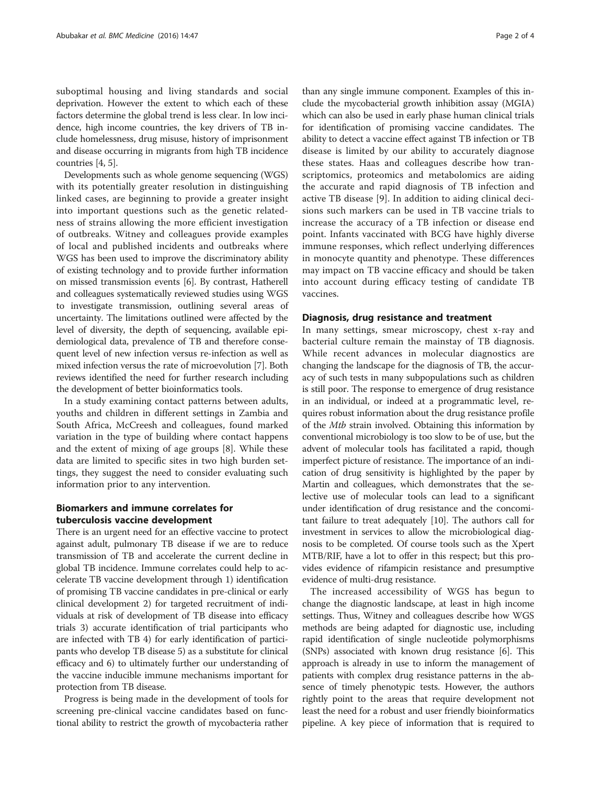suboptimal housing and living standards and social deprivation. However the extent to which each of these factors determine the global trend is less clear. In low incidence, high income countries, the key drivers of TB include homelessness, drug misuse, history of imprisonment and disease occurring in migrants from high TB incidence countries [\[4](#page-2-0), [5\]](#page-2-0).

Developments such as whole genome sequencing (WGS) with its potentially greater resolution in distinguishing linked cases, are beginning to provide a greater insight into important questions such as the genetic relatedness of strains allowing the more efficient investigation of outbreaks. Witney and colleagues provide examples of local and published incidents and outbreaks where WGS has been used to improve the discriminatory ability of existing technology and to provide further information on missed transmission events [[6\]](#page-2-0). By contrast, Hatherell and colleagues systematically reviewed studies using WGS to investigate transmission, outlining several areas of uncertainty. The limitations outlined were affected by the level of diversity, the depth of sequencing, available epidemiological data, prevalence of TB and therefore consequent level of new infection versus re-infection as well as mixed infection versus the rate of microevolution [\[7\]](#page-2-0). Both reviews identified the need for further research including the development of better bioinformatics tools.

In a study examining contact patterns between adults, youths and children in different settings in Zambia and South Africa, McCreesh and colleagues, found marked variation in the type of building where contact happens and the extent of mixing of age groups [\[8](#page-2-0)]. While these data are limited to specific sites in two high burden settings, they suggest the need to consider evaluating such information prior to any intervention.

# Biomarkers and immune correlates for tuberculosis vaccine development

There is an urgent need for an effective vaccine to protect against adult, pulmonary TB disease if we are to reduce transmission of TB and accelerate the current decline in global TB incidence. Immune correlates could help to accelerate TB vaccine development through 1) identification of promising TB vaccine candidates in pre-clinical or early clinical development 2) for targeted recruitment of individuals at risk of development of TB disease into efficacy trials 3) accurate identification of trial participants who are infected with TB 4) for early identification of participants who develop TB disease 5) as a substitute for clinical efficacy and 6) to ultimately further our understanding of the vaccine inducible immune mechanisms important for protection from TB disease.

Progress is being made in the development of tools for screening pre-clinical vaccine candidates based on functional ability to restrict the growth of mycobacteria rather

than any single immune component. Examples of this include the mycobacterial growth inhibition assay (MGIA) which can also be used in early phase human clinical trials for identification of promising vaccine candidates. The ability to detect a vaccine effect against TB infection or TB disease is limited by our ability to accurately diagnose these states. Haas and colleagues describe how transcriptomics, proteomics and metabolomics are aiding the accurate and rapid diagnosis of TB infection and active TB disease [\[9](#page-3-0)]. In addition to aiding clinical decisions such markers can be used in TB vaccine trials to increase the accuracy of a TB infection or disease end point. Infants vaccinated with BCG have highly diverse immune responses, which reflect underlying differences in monocyte quantity and phenotype. These differences may impact on TB vaccine efficacy and should be taken into account during efficacy testing of candidate TB vaccines.

## Diagnosis, drug resistance and treatment

In many settings, smear microscopy, chest x-ray and bacterial culture remain the mainstay of TB diagnosis. While recent advances in molecular diagnostics are changing the landscape for the diagnosis of TB, the accuracy of such tests in many subpopulations such as children is still poor. The response to emergence of drug resistance in an individual, or indeed at a programmatic level, requires robust information about the drug resistance profile of the Mtb strain involved. Obtaining this information by conventional microbiology is too slow to be of use, but the advent of molecular tools has facilitated a rapid, though imperfect picture of resistance. The importance of an indication of drug sensitivity is highlighted by the paper by Martin and colleagues, which demonstrates that the selective use of molecular tools can lead to a significant under identification of drug resistance and the concomitant failure to treat adequately [\[10\]](#page-3-0). The authors call for investment in services to allow the microbiological diagnosis to be completed. Of course tools such as the Xpert MTB/RIF, have a lot to offer in this respect; but this provides evidence of rifampicin resistance and presumptive evidence of multi-drug resistance.

The increased accessibility of WGS has begun to change the diagnostic landscape, at least in high income settings. Thus, Witney and colleagues describe how WGS methods are being adapted for diagnostic use, including rapid identification of single nucleotide polymorphisms (SNPs) associated with known drug resistance [\[6\]](#page-2-0). This approach is already in use to inform the management of patients with complex drug resistance patterns in the absence of timely phenotypic tests. However, the authors rightly point to the areas that require development not least the need for a robust and user friendly bioinformatics pipeline. A key piece of information that is required to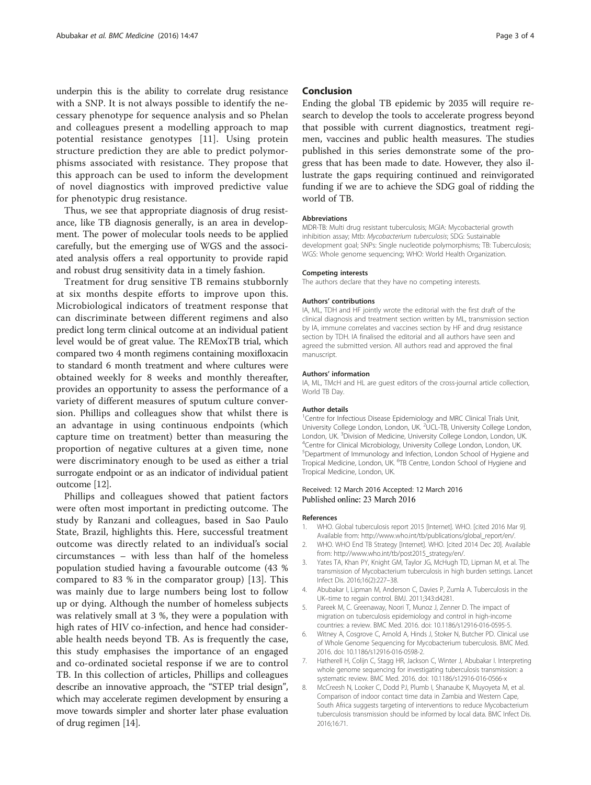<span id="page-2-0"></span>underpin this is the ability to correlate drug resistance with a SNP. It is not always possible to identify the necessary phenotype for sequence analysis and so Phelan and colleagues present a modelling approach to map potential resistance genotypes [\[11\]](#page-3-0). Using protein structure prediction they are able to predict polymorphisms associated with resistance. They propose that this approach can be used to inform the development of novel diagnostics with improved predictive value for phenotypic drug resistance.

Thus, we see that appropriate diagnosis of drug resistance, like TB diagnosis generally, is an area in development. The power of molecular tools needs to be applied carefully, but the emerging use of WGS and the associated analysis offers a real opportunity to provide rapid and robust drug sensitivity data in a timely fashion.

Treatment for drug sensitive TB remains stubbornly at six months despite efforts to improve upon this. Microbiological indicators of treatment response that can discriminate between different regimens and also predict long term clinical outcome at an individual patient level would be of great value. The REMoxTB trial, which compared two 4 month regimens containing moxifloxacin to standard 6 month treatment and where cultures were obtained weekly for 8 weeks and monthly thereafter, provides an opportunity to assess the performance of a variety of different measures of sputum culture conversion. Phillips and colleagues show that whilst there is an advantage in using continuous endpoints (which capture time on treatment) better than measuring the proportion of negative cultures at a given time, none were discriminatory enough to be used as either a trial surrogate endpoint or as an indicator of individual patient outcome [\[12](#page-3-0)].

Phillips and colleagues showed that patient factors were often most important in predicting outcome. The study by Ranzani and colleagues, based in Sao Paulo State, Brazil, highlights this. Here, successful treatment outcome was directly related to an individual's social circumstances – with less than half of the homeless population studied having a favourable outcome (43 % compared to 83 % in the comparator group) [[13](#page-3-0)]. This was mainly due to large numbers being lost to follow up or dying. Although the number of homeless subjects was relatively small at 3 %, they were a population with high rates of HIV co-infection, and hence had considerable health needs beyond TB. As is frequently the case, this study emphasises the importance of an engaged and co-ordinated societal response if we are to control TB. In this collection of articles, Phillips and colleagues describe an innovative approach, the "STEP trial design", which may accelerate regimen development by ensuring a move towards simpler and shorter later phase evaluation of drug regimen [[14](#page-3-0)].

## Conclusion

Ending the global TB epidemic by 2035 will require research to develop the tools to accelerate progress beyond that possible with current diagnostics, treatment regimen, vaccines and public health measures. The studies published in this series demonstrate some of the progress that has been made to date. However, they also illustrate the gaps requiring continued and reinvigorated funding if we are to achieve the SDG goal of ridding the world of TB.

#### Abbreviations

MDR-TB: Multi drug resistant tuberculosis; MGIA: Mycobacterial growth inhibition assay; Mtb: Mycobacterium tuberculosis; SDG: Sustainable development goal; SNPs: Single nucleotide polymorphisms; TB: Tuberculosis; WGS: Whole genome sequencing; WHO: World Health Organization.

#### Competing interests

The authors declare that they have no competing interests.

#### Authors' contributions

IA, ML, TDH and HF jointly wrote the editorial with the first draft of the clinical diagnosis and treatment section written by ML, transmission section by IA, immune correlates and vaccines section by HF and drug resistance section by TDH. IA finalised the editorial and all authors have seen and agreed the submitted version. All authors read and approved the final manuscript.

#### Authors' information

IA, ML, TMcH and HL are guest editors of the cross-journal article collection, World TB Day.

#### Author details

<sup>1</sup> Centre for Infectious Disease Epidemiology and MRC Clinical Trials Unit University College London, London, UK. <sup>2</sup>UCL-TB, University College London London, UK. <sup>3</sup> Division of Medicine, University College London, London, UK.<br><sup>4</sup> Contre for Clinical Microbiology, University College London, London, UK. <sup>4</sup>Centre for Clinical Microbiology, University College London, London, UK. 5 Department of Immunology and Infection, London School of Hygiene and Tropical Medicine, London, UK. <sup>6</sup>TB Centre, London School of Hygiene and Tropical Medicine, London, UK.

### Received: 12 March 2016 Accepted: 12 March 2016 Published online: 23 March 2016

#### References

- 1. WHO. Global tuberculosis report 2015 [Internet]. WHO. [cited 2016 Mar 9]. Available from: [http://www.who.int/tb/publications/global\\_report/en/.](http://www.who.int/tb/publications/global_report/en/)
- 2. WHO. WHO End TB Strategy [Internet]. WHO. [cited 2014 Dec 20]. Available from: [http://www.who.int/tb/post2015\\_strategy/en/.](http://www.who.int/tb/post2015_strategy/en/)
- Yates TA, Khan PY, Knight GM, Taylor JG, McHugh TD, Lipman M, et al. The transmission of Mycobacterium tuberculosis in high burden settings. Lancet Infect Dis. 2016;16(2):227–38.
- 4. Abubakar I, Lipman M, Anderson C, Davies P, Zumla A. Tuberculosis in the UK–time to regain control. BMJ. 2011;343:d4281.
- 5. Pareek M, C. Greenaway, Noori T, Munoz J, Zenner D. The impact of migration on tuberculosis epidemiology and control in high-income countries: a review. BMC Med. 2016. doi: [10.1186/s12916-016-0595-5.](http://dx.doi.org/10.1186/s12916-016-0595-5)
- 6. Witney A, Cosgrove C, Arnold A, Hinds J, Stoker N, Butcher PD. Clinical use of Whole Genome Sequencing for Mycobacterium tuberculosis. BMC Med. 2016. doi: [10.1186/s12916-016-0598-2](http://dx.doi.org/10.1186/s12916-016-0598-2).
- 7. Hatherell H, Colijn C, Stagg HR, Jackson C, Winter J, Abubakar I. Interpreting whole genome sequencing for investigating tuberculosis transmission: a systematic review. BMC Med. 2016. doi: [10.1186/s12916-016-0566-x](http://dx.doi.org/10.1186/s12916-016-0566-x)
- 8. McCreesh N, Looker C, Dodd PJ, Plumb I, Shanaube K, Muyoyeta M, et al. Comparison of indoor contact time data in Zambia and Western Cape, South Africa suggests targeting of interventions to reduce Mycobacterium tuberculosis transmission should be informed by local data. BMC Infect Dis. 2016;16:71.